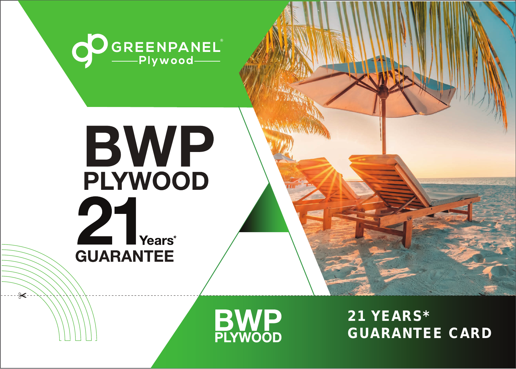

## BWP **PLYWOOD** 21 Years\* **GUARANTEE**

 $\ast$ 



21 YEARS\* GUARANTEE CARD